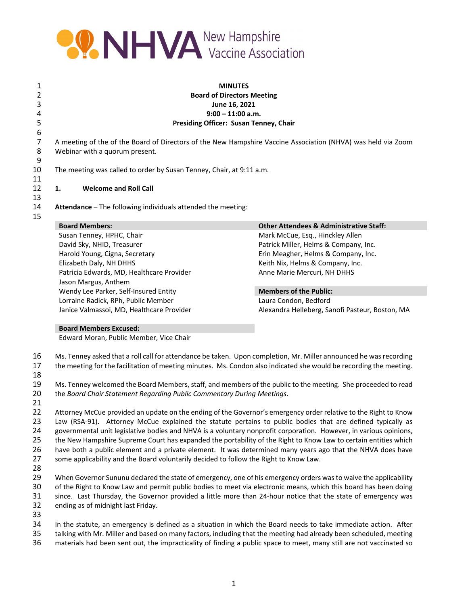

 **MINUTES Board of Directors Meeting June 16, 2021 9:00 – 11:00 a.m. Presiding Officer: Susan Tenney, Chair** A meeting of the of the Board of Directors of the New Hampshire Vaccine Association (NHVA) was held via Zoom Webinar with a quorum present. The meeting was called to order by Susan Tenney, Chair, at 9:11 a.m. **1. Welcome and Roll Call Attendance** – The following individuals attended the meeting: **Board Members: Other Attendees & Administrative Staff:** Susan Tenney, HPHC, Chair Mark Mark McCue, Esq., Hinckley Allen

David Sky, NHID, Treasurer **Patrick Miller, Helms & Company, Inc.** Patrick Miller, Helms & Company, Inc. Harold Young, Cigna, Secretary Erin Meagher, Helms & Company, Inc. Elizabeth Daly, NH DHHS Keith Nix, Helms & Company, Inc. Patricia Edwards, MD, Healthcare Provider Anne Marie Mercuri, NH DHHS Jason Margus, Anthem Wendy Lee Parker, Self‐Insured Entity **Members of the Public:** Lorraine Radick, RPh, Public Member Laura Condon, Bedford

Janice Valmassoi, MD, Healthcare Provider Alexandra Helleberg, Sanofi Pasteur, Boston, MA

## **Board Members Excused:**

Edward Moran, Public Member, Vice Chair

 Ms. Tenney asked that a roll call for attendance be taken. Upon completion, Mr. Miller announced he was recording the meeting for the facilitation of meeting minutes. Ms. Condon also indicated she would be recording the meeting.

 Ms. Tenney welcomed the Board Members,staff, and members of the public to the meeting. She proceeded to read the *Board Chair Statement Regarding Public Commentary During Meetings*.

 Attorney McCue provided an update on the ending of the Governor's emergency order relative to the Right to Know 23 Law (RSA-91). Attorney McCue explained the statute pertains to public bodies that are defined typically as governmental unit legislative bodies and NHVA is a voluntary nonprofit corporation. However, in various opinions, the New Hampshire Supreme Court has expanded the portability of the Right to Know Law to certain entities which have both a public element and a private element. It was determined many years ago that the NHVA does have some applicability and the Board voluntarily decided to follow the Right to Know Law.

 When Governor Sununu declared the state of emergency, one of his emergency orders wasto waive the applicability of the Right to Know Law and permit public bodies to meet via electronic means, which this board has been doing since. Last Thursday, the Governor provided a little more than 24‐hour notice that the state of emergency was ending as of midnight last Friday.

 In the statute, an emergency is defined as a situation in which the Board needs to take immediate action. After talking with Mr. Miller and based on many factors, including that the meeting had already been scheduled, meeting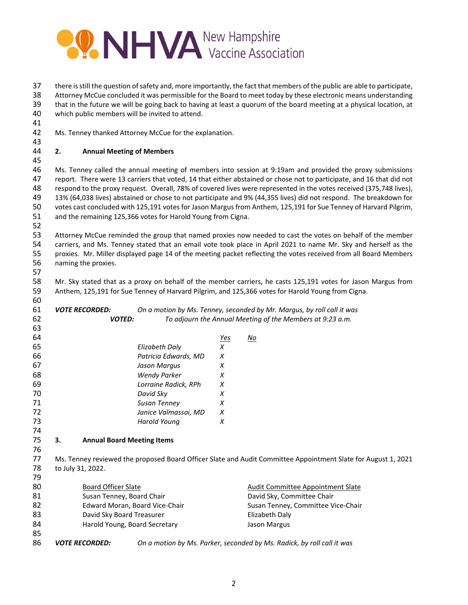

there isstill the question ofsafety and, more importantly, the fact that members of the public are able to participate,

 Attorney McCue concluded it was permissible for the Board to meet today by these electronic means understanding that in the future we will be going back to having at least a quorum of the board meeting at a physical location, at

which public members will be invited to attend.

Ms. Tenney thanked Attorney McCue for the explanation.

## **2. Annual Meeting of Members**

 Ms. Tenney called the annual meeting of members into session at 9:19am and provided the proxy submissions report. There were 13 carriers that voted, 14 that either abstained or chose not to participate, and 16 that did not respond to the proxy request. Overall, 78% of covered lives were represented in the votes received (375,748 lives), 13% (64,038 lives) abstained or chose to not participate and 9% (44,355 lives) did not respond. The breakdown for votes cast concluded with 125,191 votesfor Jason Margusfrom Anthem, 125,191 for Sue Tenney of Harvard Pilgrim, and the remaining 125,366 votes for Harold Young from Cigna.

 Attorney McCue reminded the group that named proxies now needed to cast the votes on behalf of the member carriers, and Ms. Tenney stated that an email vote took place in April 2021 to name Mr. Sky and herself as the proxies. Mr. Miller displayed page 14 of the meeting packet reflecting the votes received from all Board Members naming the proxies. 

 Mr. Sky stated that as a proxy on behalf of the member carriers, he casts 125,191 votes for Jason Margus from Anthem, 125,191 for Sue Tenney of Harvard Pilgrim, and 125,366 votes for Harold Young from Cigna.

| 60 |                            |                                   |                                |            |                                                                                                               |
|----|----------------------------|-----------------------------------|--------------------------------|------------|---------------------------------------------------------------------------------------------------------------|
| 61 |                            | <i><b>VOTE RECORDED:</b></i>      |                                |            | On a motion by Ms. Tenney, seconded by Mr. Margus, by roll call it was                                        |
| 62 |                            | <b>VOTED:</b>                     |                                |            | To adjourn the Annual Meeting of the Members at 9:23 a.m.                                                     |
| 63 |                            |                                   |                                |            |                                                                                                               |
| 64 |                            |                                   |                                | <u>Yes</u> | No                                                                                                            |
| 65 |                            |                                   | Elizabeth Daly                 | X          |                                                                                                               |
| 66 |                            |                                   | Patricia Edwards, MD           | X          |                                                                                                               |
| 67 |                            |                                   | Jason Marqus                   | X          |                                                                                                               |
| 68 |                            |                                   | <b>Wendy Parker</b>            | X          |                                                                                                               |
| 69 |                            |                                   | Lorraine Radick, RPh           | X          |                                                                                                               |
| 70 |                            |                                   | David Sky                      | X          |                                                                                                               |
| 71 |                            |                                   | Susan Tenney                   | X          |                                                                                                               |
| 72 |                            |                                   | Janice Valmassoi, MD           | X          |                                                                                                               |
| 73 |                            |                                   | <b>Harold Young</b>            | X          |                                                                                                               |
| 74 |                            |                                   |                                |            |                                                                                                               |
| 75 | 3.                         | <b>Annual Board Meeting Items</b> |                                |            |                                                                                                               |
| 76 |                            |                                   |                                |            |                                                                                                               |
| 77 |                            |                                   |                                |            | Ms. Tenney reviewed the proposed Board Officer Slate and Audit Committee Appointment Slate for August 1, 2021 |
| 78 |                            | to July 31, 2022.                 |                                |            |                                                                                                               |
| 79 |                            |                                   |                                |            |                                                                                                               |
| 80 | <b>Board Officer Slate</b> |                                   |                                |            | Audit Committee Appointment Slate                                                                             |
| 81 |                            | Susan Tenney, Board Chair         |                                |            | David Sky, Committee Chair                                                                                    |
| 82 |                            |                                   | Edward Moran, Board Vice-Chair |            | Susan Tenney, Committee Vice-Chair                                                                            |
| 83 |                            | David Sky Board Treasurer         |                                |            | Elizabeth Daly                                                                                                |
| 84 |                            | Harold Young, Board Secretary     |                                |            | Jason Margus                                                                                                  |
| 85 |                            |                                   |                                |            |                                                                                                               |
| 86 |                            | <b>VOTE RECORDED:</b>             |                                |            | On a motion by Ms. Parker, seconded by Ms. Radick, by roll call it was                                        |
|    |                            |                                   |                                |            |                                                                                                               |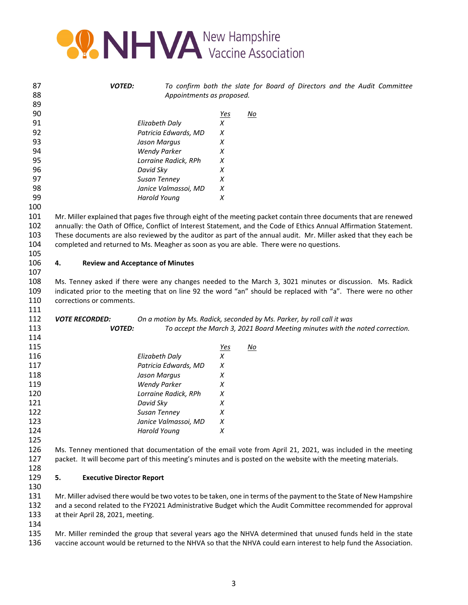

| 87         | <b>VOTED:</b>                          |                                         |                 | To confirm both the slate for Board of Directors and the Audit Committee                                                                               |
|------------|----------------------------------------|-----------------------------------------|-----------------|--------------------------------------------------------------------------------------------------------------------------------------------------------|
| 88         |                                        | Appointments as proposed.               |                 |                                                                                                                                                        |
| 89         |                                        |                                         |                 |                                                                                                                                                        |
| 90         |                                        |                                         | <u>Yes</u>      | <u>No</u>                                                                                                                                              |
| 91         |                                        | <b>Elizabeth Daly</b>                   | X               |                                                                                                                                                        |
| 92         |                                        | Patricia Edwards, MD                    | Χ               |                                                                                                                                                        |
| 93         |                                        | Jason Margus                            | Χ               |                                                                                                                                                        |
| 94         |                                        | <b>Wendy Parker</b>                     | X               |                                                                                                                                                        |
| 95         |                                        | Lorraine Radick, RPh                    | Χ               |                                                                                                                                                        |
| 96         |                                        | David Sky                               | X               |                                                                                                                                                        |
| 97         |                                        | Susan Tenney                            | Χ               |                                                                                                                                                        |
| 98         |                                        | Janice Valmassoi, MD                    | X               |                                                                                                                                                        |
| 99         |                                        | <b>Harold Young</b>                     | X               |                                                                                                                                                        |
| 100        |                                        |                                         |                 |                                                                                                                                                        |
| 101        |                                        |                                         |                 | Mr. Miller explained that pages five through eight of the meeting packet contain three documents that are renewed                                      |
| 102        |                                        |                                         |                 | annually: the Oath of Office, Conflict of Interest Statement, and the Code of Ethics Annual Affirmation Statement.                                     |
| 103        |                                        |                                         |                 | These documents are also reviewed by the auditor as part of the annual audit. Mr. Miller asked that they each be                                       |
| 104        |                                        |                                         |                 | completed and returned to Ms. Meagher as soon as you are able. There were no questions.                                                                |
| 105        |                                        |                                         |                 |                                                                                                                                                        |
| 106        | 4.                                     | <b>Review and Acceptance of Minutes</b> |                 |                                                                                                                                                        |
| 107        |                                        |                                         |                 |                                                                                                                                                        |
| 108        |                                        |                                         |                 | Ms. Tenney asked if there were any changes needed to the March 3, 3021 minutes or discussion. Ms. Radick                                               |
| 109        |                                        |                                         |                 | indicated prior to the meeting that on line 92 the word "an" should be replaced with "a". There were no other                                          |
| 110        | corrections or comments.               |                                         |                 |                                                                                                                                                        |
| 111<br>112 | <b>VOTE RECORDED:</b>                  |                                         |                 |                                                                                                                                                        |
| 113        | <b>VOTED:</b>                          |                                         |                 | On a motion by Ms. Radick, seconded by Ms. Parker, by roll call it was<br>To accept the March 3, 2021 Board Meeting minutes with the noted correction. |
| 114        |                                        |                                         |                 |                                                                                                                                                        |
| 115        |                                        |                                         |                 | $\underline{\mathsf{No}}$                                                                                                                              |
| 116        |                                        | <b>Elizabeth Daly</b>                   | <u>Yes</u><br>X |                                                                                                                                                        |
| 117        |                                        | Patricia Edwards, MD                    | Χ               |                                                                                                                                                        |
| 118        |                                        | Jason Margus                            | Χ               |                                                                                                                                                        |
| 119        |                                        | <b>Wendy Parker</b>                     | Χ               |                                                                                                                                                        |
| 120        |                                        | Lorraine Radick, RPh                    | Χ               |                                                                                                                                                        |
| 121        |                                        | David Sky                               | X               |                                                                                                                                                        |
| 122        |                                        | Susan Tenney                            | X               |                                                                                                                                                        |
| 123        |                                        | Janice Valmassoi, MD                    | X               |                                                                                                                                                        |
| 124        |                                        | <b>Harold Young</b>                     | X               |                                                                                                                                                        |
| 125        |                                        |                                         |                 |                                                                                                                                                        |
| 126        |                                        |                                         |                 | Ms. Tenney mentioned that documentation of the email vote from April 21, 2021, was included in the meeting                                             |
| 127        |                                        |                                         |                 | packet. It will become part of this meeting's minutes and is posted on the website with the meeting materials.                                         |
|            |                                        |                                         |                 |                                                                                                                                                        |
| 128<br>129 | <b>Executive Director Report</b><br>5. |                                         |                 |                                                                                                                                                        |
|            |                                        |                                         |                 |                                                                                                                                                        |
| 130<br>131 |                                        |                                         |                 |                                                                                                                                                        |
| 132        |                                        |                                         |                 | Mr. Miller advised there would be two votes to be taken, one in terms of the payment to the State of New Hampshire                                     |
| 133        |                                        |                                         |                 | and a second related to the FY2021 Administrative Budget which the Audit Committee recommended for approval                                            |
|            | at their April 28, 2021, meeting.      |                                         |                 |                                                                                                                                                        |
| 134        |                                        |                                         |                 |                                                                                                                                                        |

 Mr. Miller reminded the group that several years ago the NHVA determined that unused funds held in the state vaccine account would be returned to the NHVA so that the NHVA could earn interest to help fund the Association.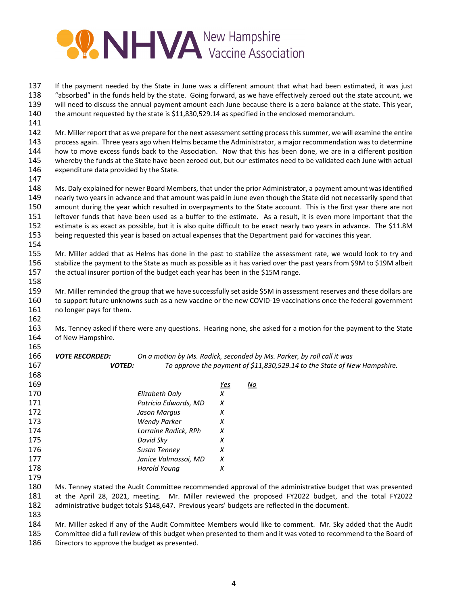

 If the payment needed by the State in June was a different amount that what had been estimated, it was just "absorbed" in the funds held by the state. Going forward, as we have effectively zeroed out the state account, we 139 will need to discuss the annual payment amount each June because there is a zero balance at the state. This year, the amount requested by the state is \$11,830,529.14 as specified in the enclosed memorandum.

142 Mr. Miller report that as we prepare for the next assessment setting process this summer, we will examine the entire process again. Three years ago when Helms became the Administrator, a major recommendation was to determine how to move excess funds back to the Association. Now that this has been done, we are in a different position whereby the funds at the State have been zeroed out, but our estimates need to be validated each June with actual expenditure data provided by the State.

 Ms. Daly explained for newer Board Members, that under the prior Administrator, a payment amount was identified nearly two years in advance and that amount was paid in June even though the State did not necessarily spend that amount during the year which resulted in overpayments to the State account. This is the first year there are not leftover funds that have been used as a buffer to the estimate. As a result, it is even more important that the estimate is as exact as possible, but it is also quite difficult to be exact nearly two years in advance. The \$11.8M being requested this year is based on actual expenses that the Department paid for vaccines this year.

 Mr. Miller added that as Helms has done in the past to stabilize the assessment rate, we would look to try and stabilize the payment to the State as much as possible as it has varied over the past years from \$9M to \$19M albeit the actual insurer portion of the budget each year has been in the \$15M range.

 Mr. Miller reminded the group that we have successfully set aside \$5M in assessment reserves and these dollars are 160 to support future unknowns such as a new vaccine or the new COVID-19 vaccinations once the federal government 161 no longer pays for them. 

 Ms. Tenney asked if there were any questions. Hearing none, she asked for a motion for the payment to the State of New Hampshire.

 *VOTE RECORDED: On a motion by Ms. Radick, seconded by Ms. Parker, by roll call it was VOTED: To approve the payment of \$11,830,529.14 to the State of New Hampshire.*

| 169 |                      | Yes | No |
|-----|----------------------|-----|----|
| 170 | Elizabeth Daly       | x   |    |
| 171 | Patricia Edwards, MD | X   |    |
| 172 | Jason Margus         | х   |    |
| 173 | <b>Wendy Parker</b>  | х   |    |
| 174 | Lorraine Radick, RPh | x   |    |
| 175 | David Sky            | x   |    |
| 176 | <b>Susan Tenney</b>  | х   |    |
| 177 | Janice Valmassoi, MD | х   |    |
| 178 | Harold Young         | х   |    |
| 179 |                      |     |    |

 Ms. Tenney stated the Audit Committee recommended approval of the administrative budget that was presented at the April 28, 2021, meeting. Mr. Miller reviewed the proposed FY2022 budget, and the total FY2022 administrative budget totals \$148,647. Previous years' budgets are reflected in the document.

 Mr. Miller asked if any of the Audit Committee Members would like to comment. Mr. Sky added that the Audit Committee did a full review of this budget when presented to them and it was voted to recommend to the Board of Directors to approve the budget as presented.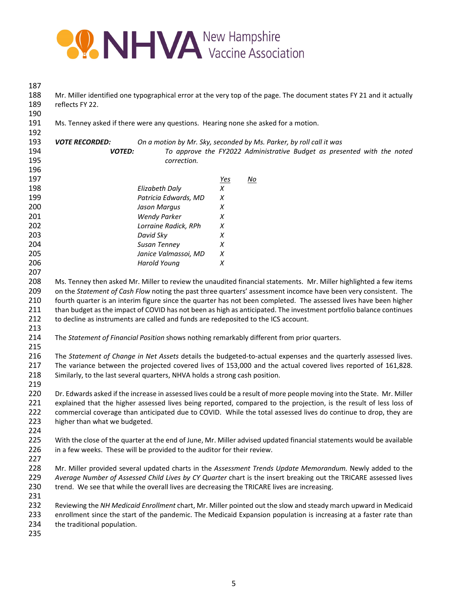

 Mr. Miller identified one typographical error at the very top of the page. The document states FY 21 and it actually reflects FY 22. Ms. Tenney asked if there were any questions. Hearing none she asked for a motion. *VOTE RECORDED: On a motion by Mr. Sky, seconded by Ms. Parker, by roll call it was VOTED: To approve the FY2022 Administrative Budget as presented with the noted correction. Yes No Elizabeth Daly X Patricia Edwards, MD X Jason Margus X Wendy Parker X Lorraine Radick, RPh X David Sky X Susan Tenney X Janice Valmassoi, MD X Harold Young X* Ms. Tenney then asked Mr. Miller to review the unaudited financial statements. Mr. Miller highlighted a few items on the *Statement of Cash Flow* noting the past three quarters' assessment incomce have been very consistent. The fourth quarter is an interim figure since the quarter has not been completed. The assessed lives have been higher than budget as the impact of COVID has not been as high as anticipated. The investment portfolio balance continues 212 to decline as instruments are called and funds are redeposited to the ICS account. The *Statement of Financial Position* shows nothing remarkably different from prior quarters. The *Statement of Change in Net Assets* details the budgeted‐to‐actual expenses and the quarterly assessed lives. The variance between the projected covered lives of 153,000 and the actual covered lives reported of 161,828. Similarly, to the last several quarters, NHVA holds a strong cash position. Dr. Edwards asked if the increase in assessed lives could be a result of more people moving into the State. Mr. Miller 221 explained that the higher assessed lives being reported, compared to the projection, is the result of less loss of commercial coverage than anticipated due to COVID. While the total assessed lives do continue to drop, they are higher than what we budgeted. 225 With the close of the quarter at the end of June, Mr. Miller advised updated financial statements would be available 226 in a few weeks. These will be provided to the auditor for their review. Mr. Miller provided several updated charts in the *Assessment Trends Update Memorandum.* Newly added to the *Average Number of Assessed Child Lives by CY Quarter* chart is the insert breaking out the TRICARE assessed lives 230 trend. We see that while the overall lives are decreasing the TRICARE lives are increasing. Reviewing the *NH Medicaid Enrollment* chart, Mr. Miller pointed out the slow and steady march upward in Medicaid enrollment since the start of the pandemic. The Medicaid Expansion population is increasing at a faster rate than the traditional population.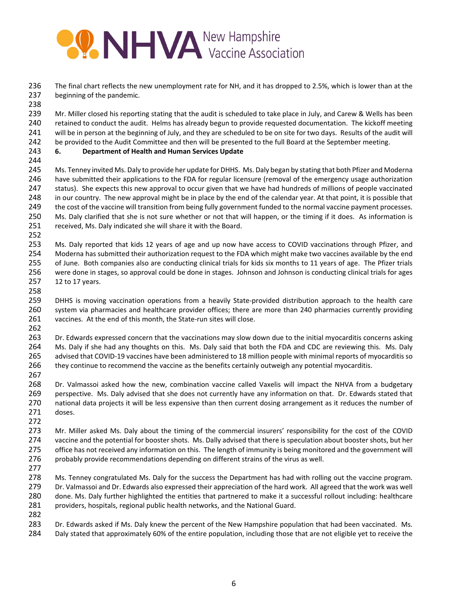## **PONHYA** New Hampshire

 The final chart reflects the new unemployment rate for NH, and it has dropped to 2.5%, which is lower than at the beginning of the pandemic.

 239 Mr. Miller closed his reporting stating that the audit is scheduled to take place in July, and Carew & Wells has been 240 retained to conduct the audit. Helms has already begun to provide requested documentation. The kickoff meeting will be in person at the beginning of July, and they are scheduled to be on site for two days. Results of the audit will be provided to the Audit Committee and then will be presented to the full Board at the September meeting.

- **6. Department of Health and Human Services Update**
- 

 Ms. Tenney invited Ms. Daly to provide her update for DHHS. Ms. Daly began by stating that both Pfizer and Moderna have submitted their applications to the FDA for regular licensure (removal of the emergency usage authorization status). She expects this new approval to occur given that we have had hundreds of millions of people vaccinated in our country. The new approval might be in place by the end of the calendar year. At that point, it is possible that 249 the cost of the vaccine will transition from being fully government funded to the normal vaccine payment processes. Ms. Daly clarified that she is not sure whether or not that will happen, or the timing if it does. As information is received, Ms. Daly indicated she will share it with the Board.

 Ms. Daly reported that kids 12 years of age and up now have access to COVID vaccinations through Pfizer, and Moderna has submitted their authorization request to the FDA which might make two vaccines available by the end of June. Both companies also are conducting clinical trials for kids six months to 11 years of age. The Pfizer trials were done in stages, so approval could be done in stages. Johnson and Johnson is conducting clinical trials for ages 12 to 17 years.

259 DHHS is moving vaccination operations from a heavily State-provided distribution approach to the health care system via pharmacies and healthcare provider offices; there are more than 240 pharmacies currently providing 261 vaccines. At the end of this month, the State-run sites will close.

 Dr. Edwards expressed concern that the vaccinations may slow down due to the initial myocarditis concerns asking Ms. Daly if she had any thoughts on this. Ms. Daly said that both the FDA and CDC are reviewing this. Ms. Daly 265 advised that COVID-19 vaccines have been administered to 18 million people with minimal reports of myocarditis so they continue to recommend the vaccine as the benefits certainly outweigh any potential myocarditis.

 Dr. Valmassoi asked how the new, combination vaccine called Vaxelis will impact the NHVA from a budgetary perspective. Ms. Daly advised that she does not currently have any information on that. Dr. Edwards stated that national data projects it will be less expensive than then current dosing arrangement as it reduces the number of doses. 

 Mr. Miller asked Ms. Daly about the timing of the commercial insurers' responsibility for the cost of the COVID vaccine and the potential for booster shots. Ms. Dally advised that there is speculation about booster shots, but her office has not received any information on this. The length of immunity is being monitored and the government will 276 probably provide recommendations depending on different strains of the virus as well.

278 Ms. Tenney congratulated Ms. Daly for the success the Department has had with rolling out the vaccine program. Dr. Valmassoi and Dr. Edwards also expressed their appreciation of the hard work. All agreed that the work was well done. Ms. Daly further highlighted the entities that partnered to make it a successful rollout including: healthcare providers, hospitals, regional public health networks, and the National Guard.

 Dr. Edwards asked if Ms. Daly knew the percent of the New Hampshire population that had been vaccinated. Ms. Daly stated that approximately 60% of the entire population, including those that are not eligible yet to receive the